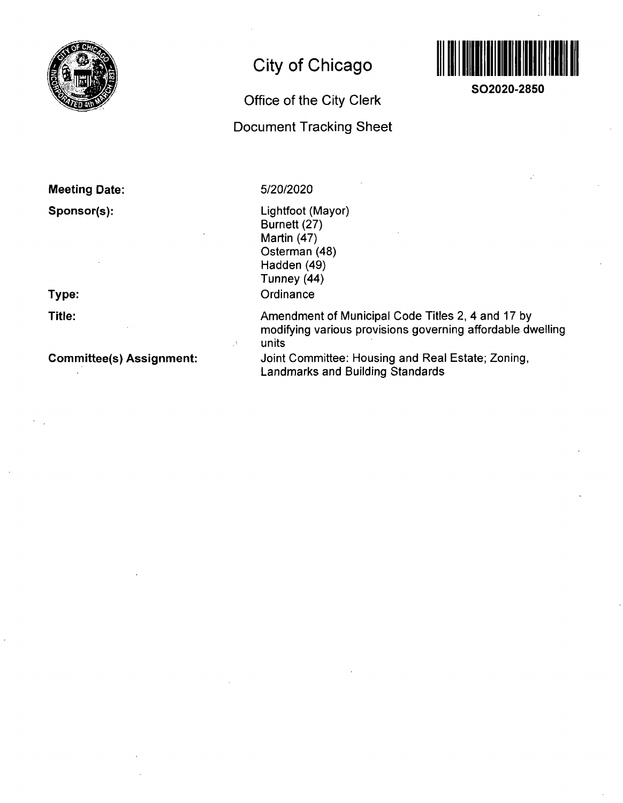

# **City of Chicago**

**Office of the City Clerk** 

**Document Tracking Sheet** 



**SO2020-2850** 

# **Meeting Date: Sponsor(s):**

**Type:** 

**Title:** 

**Committee(s) Assignment:** 

# 5/20/2020

Lightfoot (Mayor) Burnett (27) Martin (47) Osterman (48) Hadden (49) Tunney (44) **Ordinance** 

Amendment of Municipal Code Titles 2, 4 and 17 by modifying various provisions governing affordable dwelling units

Joint Committee: Housing and Real Estate; Zoning, Landmarks and Building Standards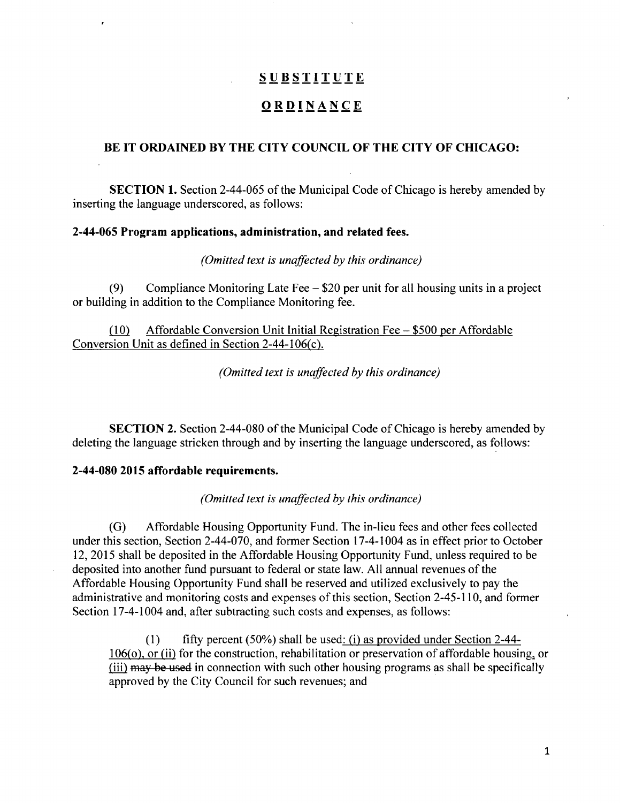# **SUBSTITUT E**

# **ORDINANC E**

#### **BE IT ORDAINED BY THE CITY COUNCIL OF THE CITY OF CHICAGO:**

SECTION 1. Section 2-44-065 of the Municipal Code of Chicago is hereby amended by inserting the language underscored, as follows:

#### **2-44-065 Program applications, administration, and related fees.**

*(Omitted text is unaffected hy this ordinance)* 

(9) Compliance Monitoring Late Fee - \$20 per unit for all housing units in a project or building in addition to the Compliance Monitoring fee.

(10) Affordable Conversion Unit Initial Registration Fee - \$500 per Affordable Conversion Unit as defined in Section 2-44-106(c).

*(Omitted text is unaffected hy this ordinance)* 

SECTION 2. Section 2-44-080 of the Municipal Code of Chicago is hereby amended by deleting the language stricken through and by inserting the language underscored, as follows:

#### **2-44-080 2015 affordable requirements.**

*(Omitted text is unaffected hy this ordinance)* 

(G) Affordable Housing Opportunity Fund. The in-lieu fees and other fees collected under this section. Section 2-44-070, and former Section 17-4-1004 as in effect prior to October 12, 2015 shall be deposited in the Affordable Housing Opportunity Fund, unless required to be deposited into another fund pursuant to federal or state law. All annual revenues of the Affordable Housing Opportunity Fund shall be reserved and utilized exclusively to pay the administrative and monitoring costs and expenses of this section. Section 2-45-110, and former Section 17-4-1004 and, after subtracting such costs and expenses, as follows:

(1) fifty percent (50%) shall be used: (i) as provided under Section 2-44- $106<sub>10</sub>$  (ii) for the construction, rehabilitation or preservation of affordable housing, or (iii) may be used in connection with such other housing programs as shall be specifically approved by the City Council for such revenues; and

 $\mathbf{1}$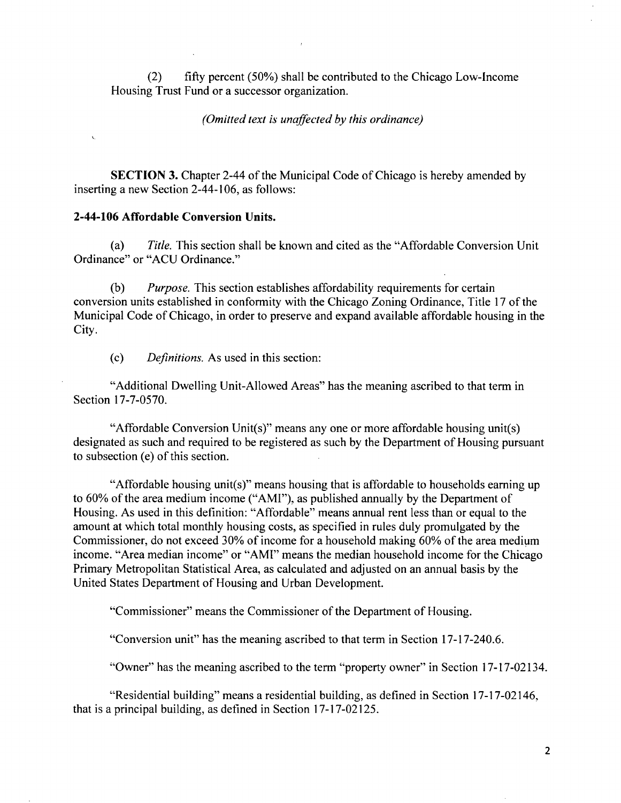(2) fifty percent (50%) shall be contributed to the Chicago Low-Income Housing Tmst Fund or a successor organization.

*(Omitted text is unaffected hy this ordinance)* 

SECTION 3. Chapter 2-44 of the Municipal Code of Chicago is hereby amended by inserting a new Section 2-44-106, as follows:

#### **2-44-106 Affordable Conversion Units.**

(a) Title. This section shall be known and cited as the "Affordable Conversion Unit Ordinance" or "ACU Ordinance."

(b) Purpose. This section establishes affordability requirements for certain conversion units established in conformity with the Chicago Zoning Ordinance, Title 17 of the Municipal Code of Chicago, in order to preserve and expand available affordable housing in the City.

(c) Definitions. As used in this section:

"Additional Dwelling Unit-Allowed Areas" has the meaning ascribed to that term in Section 17-7-0570.

"Affordable Conversion Unit(s)" means any one or more affordable housing unit(s) designated as such and required to be registered as such by the Department of Housing pursuant to subsection (e) of this section.

"Affordable housing unit(s)" means housing that is affordable to households earning up to 60% of the area medium income ("AMI"), as published annually by the Department of Housing. As used in this definition: "Affordable" means annual rent less than or equal to the amount at which total monthly housing costs, as specified in rules duly promulgated by the Commissioner, do not exceed 30% of income for a household making 60% of the area medium income. "Area median income" or "AMI" means the median household income for the Chicago Primary Metropolitan Statistical Area, as calculated and adjusted on an annual basis by the United States Department of Housing and Urban Development.

"Commissioner" means the Commissioner of the Department of Housing.

"Conversion unit" has the meaning ascribed to that term in Section 17-17-240.6.

"Owner" has the meaning ascribed to the term "property owner" in Section 17-17-02134.

"Residential building" means a residential building, as defined in Section 17-17-02146, that is a principal building, as defined in Section 17-17-02125.

 $\overline{2}$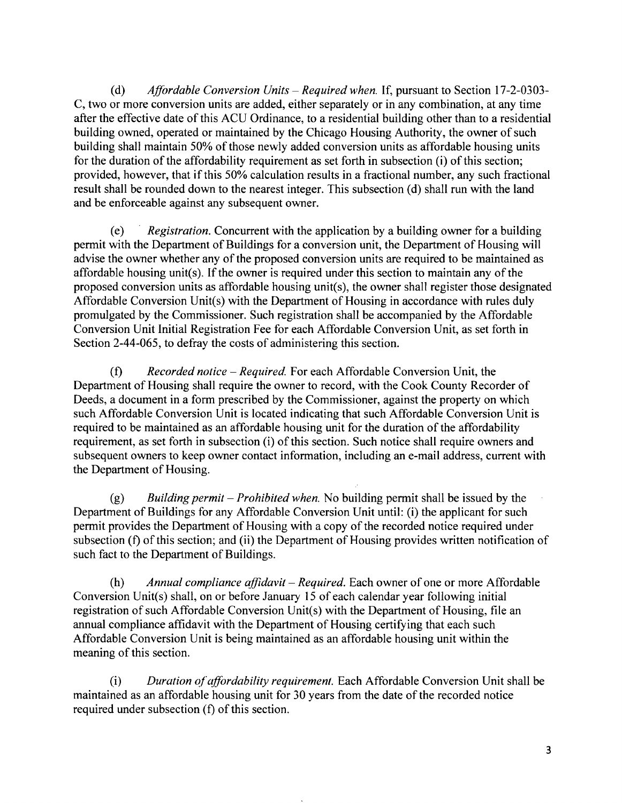(d) Affordable Conversion Units – Required when. If, pursuant to Section 17-2-0303-C, two or more conversion units are added, either separately or in any combination, at any time after the effective date of this ACU Ordinance, to a residential building other than to a residential building owned, operated or maintained by the Chicago Housing Authority, the owner of such building shall maintain 50% of those newly added conversion units as affordable housing units for the duration of the affordability requirement as set forth in subsection (i) of this section; provided, however, that if this 50% calculation results in a fractional number, any such fractional result shall be rounded down to the nearest integer. This subsection (d) shall run with the land and be enforceable against any subsequent owner.

 $(e)$  Registration. Concurrent with the application by a building owner for a building permit with the Department of Buildings for a conversion unit, the Department of Housing will advise the owner whether any of the proposed conversion units are required to be maintained as affordable housing unit(s). If the owner is required under this section to maintain any of the proposed conversion units as affordable housing unit(s), the owner shall register those designated Affordable Conversion Unit(s) with the Department of Housing in accordance with mles duly promulgated by the Commissioner. Such registration shall be accompanied by the Affordable Conversion Unit Initial Registration Fee for each Affordable Conversion Unit, as set forth in Section 2-44-065, to defray the costs of administering this section.

(f) Recorded notice – Required. For each Affordable Conversion Unit, the Department of Housing shall require the owner to record, with the Cook County Recorder of Deeds, a document in a form prescribed by the Commissioner, against the property on which such Affordable Conversion Unit is located indicating that such Affordable Conversion Unit is required to be maintained as an affordable housing unit for the duration of the affordability requirement, as set forth in subsection (i) of this section. Such notice shall require owners and subsequent owners to keep owner contact information, including an e-mail address, current with the Department of Housing.

(g) Building permit – Prohibited when. No building permit shall be issued by the Department of Buildings for any Affordable Conversion Unit until: (i) the applicant for such permit provides the Department of Housing with a copy of the recorded notice required under subsection (f) of this section; and (ii) the Department of Housing provides written notification of such fact to the Department of Buildings.

(h) Annual compliance affidavit – Required. Each owner of one or more Affordable Conversion Unit(s) shall, on or before January 15 of each calendar year following initial registration of such Affordable Conversion Unit(s) with the Department of Housing, file an annual compliance affidavit with the Department of Housing certifying that each such Affordable Conversion Unit is being maintained as an affordable housing unit within the meaning of this section.

(i) Duration of affordability requirement. Each Affordable Conversion Unit shall be maintained as an affordable housing unit for 30 years from the date of the recorded notice required under subsection (f) of this section.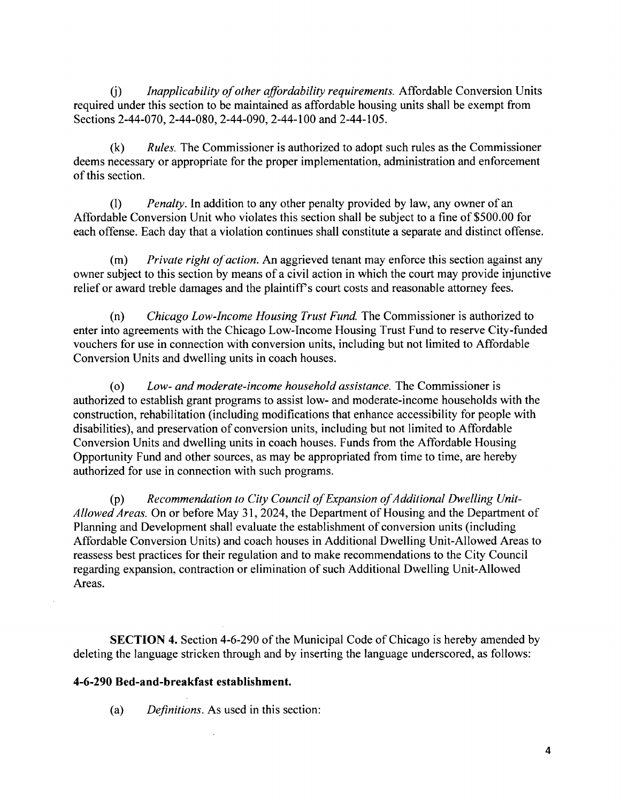(i) Inapplicability of other affordability requirements. Affordable Conversion Units required under this section to be maintained as affordable housing units shall be exempt from Sections 2-44-070, 2-44-080, 2-44-090, 2-44-100 and 2-44-105.

 $(k)$  Rules. The Commissioner is authorized to adopt such rules as the Commissioner deems necessary or appropriate for the proper implementation, administration and enforcement of this section.

(1) Penalty. In addition to any other penalty provided by law, any owner of an Affordable Conversion Unit who violates this section shall be subject to a fine of \$500.00 for each offense. Each day that a violation continues shall constitute a separate and distinct offense.

(m) Private right of action. An aggrieved tenant may enforce this section against any owner subject to this section by means of a civil action in which the court may provide injunctive relief or award treble damages and the plaintiffs court costs and reasonable attomey fees.

 $(n)$  Chicago Low-Income Housing Trust Fund. The Commissioner is authorized to enter into agreements with the Chicago Low-Income Housing Trust Fund to reserve City-funded vouchers for use in connection with conversion units, including but not limited to Affordable Conversion Units and dwelling units in coach houses.

(o) Low- and moderate-income household assistance. The Commissioner is authorized to establish grant programs to assist low- and moderate-income households with the construction, rehabilitation (including modifications that enhance accessibility for people with disabilities), and preservation of conversion units, including but not limited to Affordable Conversion Units and dwelling units in coach houses. Funds from the Affordable Housing Opportunity Fund and other sources, as may be appropriated from time to time, are hereby authorized for use in connection with such programs.

 $(p)$  Recommendation to City Council of Expansion of Additional Dwelling Unit-Allowed Areas. On or before May 31, 2024, the Department of Housing and the Department of Planning and Development shall evaluate the establishment of conversion units (including Affordable Conversion Units) and coach houses in Additional Dwelling Unit-Allowed Areas to reassess best practices for their regulation and to make recommendations to the City Council regarding expansion, contraction or elimination of such Additional Dwelling Unit-Allowed Areas.

SECTION 4. Section 4-6-290 of the Municipal Code of Chicago is hereby amended by deleting the language stricken through and by inserting the language underscored, as follows:

# **4-6-290 Bed-and-breakfast establishment.**

(a) Definitions. As used in this section: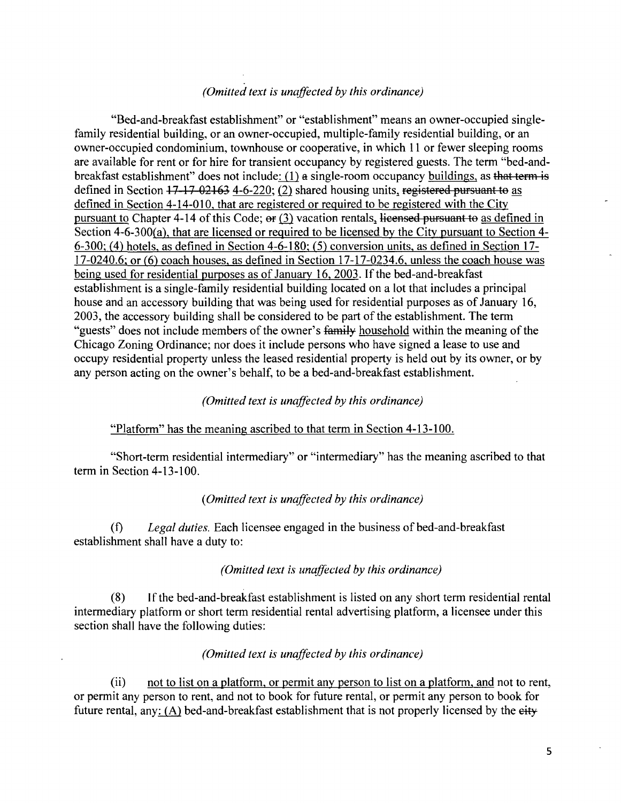# *(Omitted text is unaffected by this ordinance)*

"Bed-and-breakfast establishment" or "establishment" means an owner-occupied singlefamily residential building, or an owner-occupied, multiple-family residential building, or an owner-occupied condominium, townhouse or cooperative, in which 11 or fewer sleeping rooms are available for rent or for hire for transient occupancy by registered guests. The term "bed-andbreakfast establishment" does not include:  $(1)$  a single-room occupancy buildings, as that term is defined in Section  $17 - 17 - 02163$  4-6-220; (2) shared housing units, registered pursuant to as defined in Section 4-14-010, that are registered or required to be registered with the City pursuant to Chapter 4-14 of this Code;  $er(3)$  vacation rentals, licensed pursuant to as defined in Section 4-6-300(a), that are licensed or required to be licensed by the City pursuant to Section 4-6-300; (4) hotels, as defined in Section 4-6-180: (5) conversion units, as defined in Section 17-  $17-0240.6$ ; or (6) coach houses, as defined in Section  $17-17-0234.6$ , unless the coach house was being used for residential purposes as of Januarv 16, 2003. If the bed-and-breakfast establishment is a single-family residential building located on a lot that includes a principal house and an accessory building that was being used for residential purposes as of January 16, 2003, the accessory building shall be considered to be part of the establishment. The term "guests" does not include members of the owner's family household within the meaning of the Chicago Zoning Ordinance; nor does it include persons who have signed a lease to use and occupy residential property unless the leased residential property is held out by its owner, or by any person acting on the owner's behalf, to be a bed-and-breakfast establishment.

#### *(Omitted text is unaffected by this ordinance)*

#### "Platform" has the meaning ascribed to that term in Section 4-13-100.

"Short-term residential intermediary" or "intermediary" has the meaning ascribed to that term in Section 4-13-100.

#### *(Omitted text is unaffected hy this ordinance)*

(f) Legal duties. Each licensee engaged in the business of bed-and-breakfast establishment shail have a duty to:

#### *(Omitted text is unaffected by Ihis ordinance)*

(8) If the bed-and-breakfast establishment is listed on any short term residential rental intermediary platform or short term residential rental advertising platform, a licensee under this section shall have the following duties:

### *(Omitted text is unaffected by this ordinance)*

(ii) not to list on a platform, or permit any person to list on a platform, and not to rent, or permit any person to rent, and not to book for future rental, or permit any person to book for future rental, any: (A) bed-and-breakfast establishment that is not properly licensed by the eity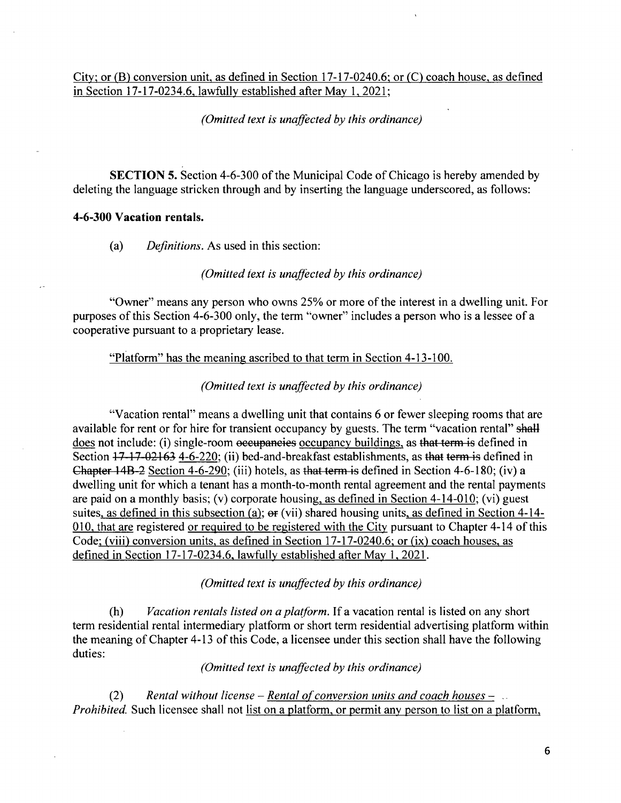Citv; or (B) conversion unit, as defined in Section 17-17-0240.6; or (C) coach house, as defined in Section 17-17-0234.6. lawfully established after Mav 1, 2021:

#### *(Omitted text is unaffected by this ordinance)*

SECTION 5. Section 4-6-300 of the Municipal Code of Chicago is hereby amended by deleting the language stricken through and by inserting the language underscored, as follows:

#### **4-6-300 Vacation rentals.**

(a) Definitions. As used in this section:

*(Omitted text is unaffected by this ordinance)* 

"Owner" means any person who owns 25% or more of the interest in a dwelling unit. For purposes of this Section 4-6-300 only, the term "owner" includes a person who is a lessee of a cooperative pursuant to a proprietary lease.

"Platform" has the meaning ascribed to that term in Section 4-13-100.

*(Omitted text is unaffected hy this ordinance)* 

"Vacation rental" means a dwelling unit that contains 6 or fewer sleeping rooms that are available for rent or for hire for transient occupancy by guests. The term "vacation rental" shall does not include: (i) single-room occupancies occupancy buildings, as that term is defined in Section  $17-17-02163$  4-6-220; (ii) bed-and-breakfast establishments, as that term is defined in Chapter 14B-2 Section 4-6-290; (iii) hotels, as that term is defined in Section 4-6-180; (iv) a dwelling unit for which a tenant has a month-to-month rental agreement and the rental payments are paid on a monthly basis; (v) corporate housing, as defined in Section 4-14-010; (vi) guest suites, as defined in this subsection (a);  $er (vii)$  shared housing units, as defined in Section 4-14-010, that are registered or required to be registered with the City pursuant to Chapter 4-14 of this Code: (viii) conversion units, as defined in Section 17-17-0240.6; or (ix) coach houses, as defined in Section 17-17-0234.6, lawfully established after May 1, 2021.

*(Omitted text is unaffected hy this ordinance)* 

(h) Vacation rentals listed on a platform. If a vacation rental is listed on any short term residential rental intermediary platform or short term residential advertising platform within the meaning of Chapter 4-13 of this Code, a licensee under this section shall have the following duties:

*(Omitted text is unaffected by this ordinance)* 

(2) Rental without license – Rental of conversion units and coach houses –  $\Box$ Prohibited. Such licensee shall not list on a platform, or permit any person to list on a platform,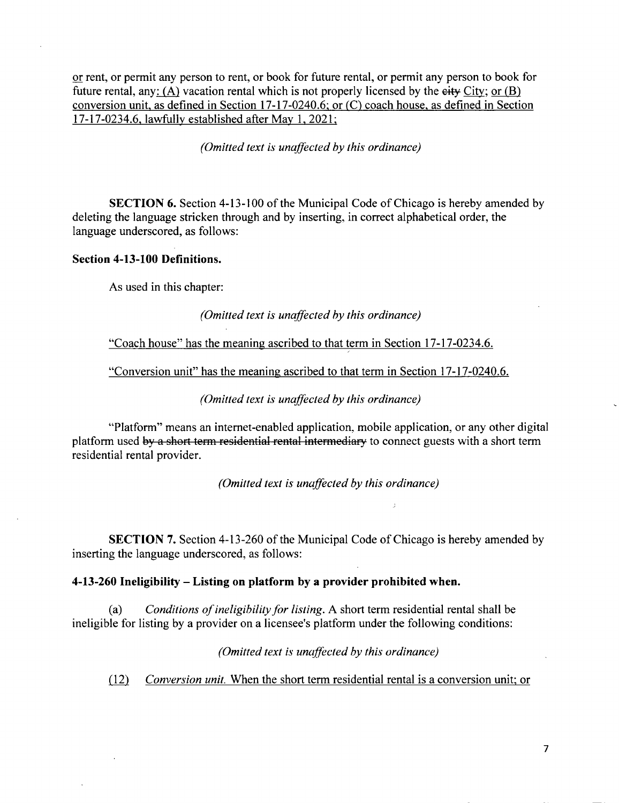or rent, or permit any person to rent, or book for future rental, or permit any person to book for future rental, any:  $(A)$  vacation rental which is not properly licensed by the eity City; or (B) conversion unit, as defined in Section 17-17-0240.6; or (C) coach house, as defined in Section 17-17-0234.6. lawfully established after Mav 1. 2021:

*(Omitted text is unaffected by this ordinance)* 

SECTION 6. Section 4-13-100 of the Municipal Code of Chicago is hereby amended by deleting the language stricken through and by inserting, in correct alphabetical order, the language underscored, as follows:

#### **Section 4-13-100 Definitions.**

As used in this chapter:

(Omitted text is unaffected by this ordinance)

"Coach house" has the meaning ascribed to that term in Section 17-17-0234.6.

"Conversion unit" has the meaning ascribed to that term in Section 17-17-0240.6.

*(Omitted text is unaffected hy this ordinance)* 

"Platform" means an intemet-enabled application, mobile application, or any other digital platform used by a short term residential rental intermediary to connect guests with a short term residential rental provider.

*(Omitted text is unaffected hy this ordinance)* 

SECTION 7. Section 4-13-260 of the Municipal Code of Chicago is hereby amended by inserting the language underscored, as follows:

#### **4-13-260 Ineligibility - Listing on platform by a provider prohibited when.**

(a) Conditions of ineligibility for listing. A short term residential rental shall be ineligible for listing by a provider on a licensee's platform under the following conditions:

*(Omitted text is unaffected hy this ordinance)* 

(12) Conversion unit. When the short term residential rental is a conversion unit; or

 $\overline{7}$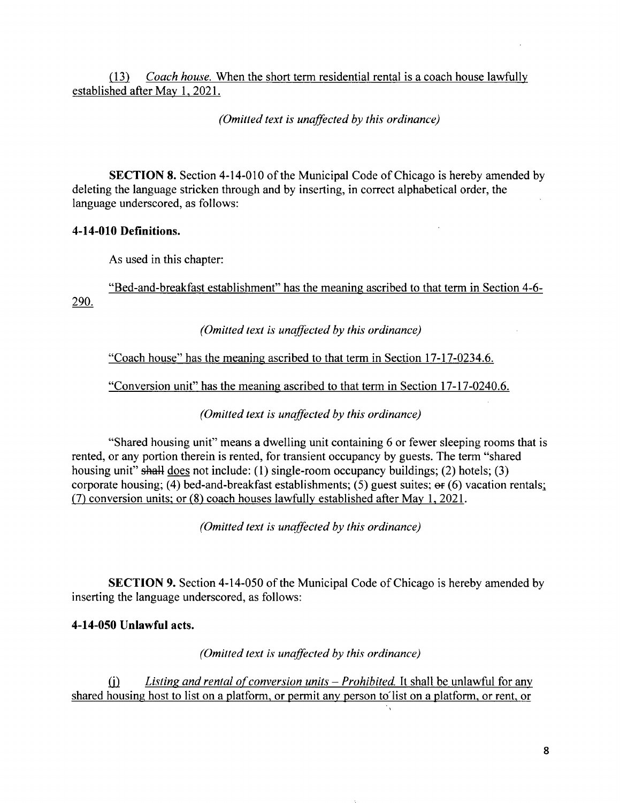(13) Coach house. When the short term residential rental is a coach house lawfully established after May 1, 2021.

*(Omitted text is unaffected by this ordinance)* 

SECTION 8. Section 4-14-010 of the Municipal Code of Chicago is hereby amended by deleting the language stricken through and by inserting, in correct alphabetical order, the language underscored, as follows:

### **4-14-010 Definitions.**

As used in this chapter:

"Bed-and-breakfast establishment" has the meaning ascribed to that term in Section 4-6-290.

(Omitted text is unaffected by this ordinance)

"Coach house" has the meaning ascribed to that term in Section 17-17-0234.6.

"Conversion unit" has the meaning ascribed to that term in Section 17-17-0240.6.

"Conversion unit" has the meaning ascribed to the meaning ascribed to that term in Section 17-17-0240.6.1. (Omitted text is unaffected by this ordinance)

"Shared housing unit" means a dwelling unit containing 6 or fewer sleeping rooms that is rented, or any portion therein is rented, for transient occupancy by guests. The term "shared housing unit" shall does not include: (1) single-room occupancy buildings; (2) hotels; (3) corporate housing; (4) bed-and-breakfast establishments; (5) guest suites; er (6) vacation rentals; (7) conversion units; or (8) coach houses lawfully established after May 1, 2021.

*(Omitted text is unaffected by this ordinance)* 

SECTION 9. Section 4-14-050 of the Municipal Code of Chicago is hereby amended by inserting the language underscored, as follows:

# **4-14-050 Unlawful acts.**

*(Omitted text is unaffected by this ordinance)* 

(i) Listing and rental of conversion units  $-$  Prohibited. It shall be unlawful for any shared housing host to list on a platform, or permit any person to list on a platform, or rent, or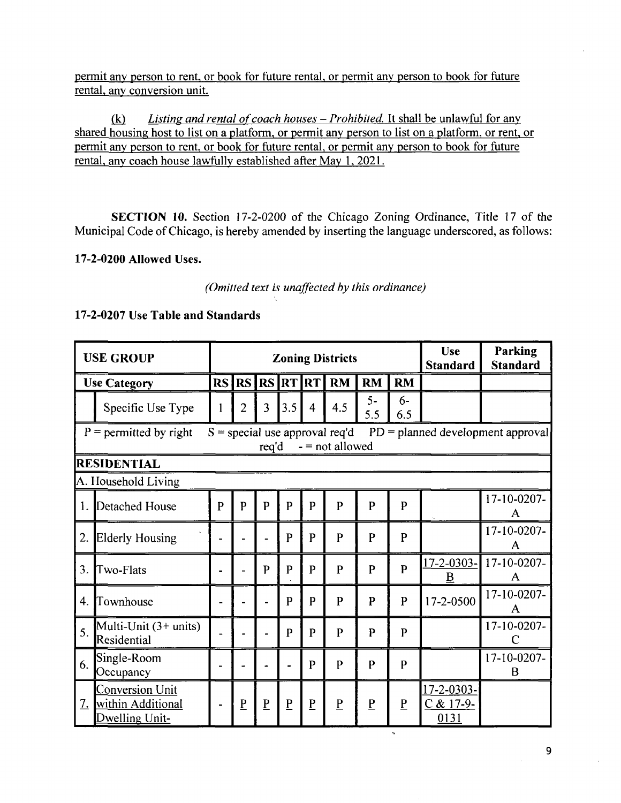permit any person to rent, or book for future rental, or permit any person to book for future rental, anv conversion unit.

 $(k)$  Listing and rental of coach houses – Prohibited. It shall be unlawful for any shared housing host to list on a platform, or permit any person to list on a platform, or rent, or permit any person to rent, or book for future rental, or permit any person to book for future rental, any coach house lawfully established after May 1, 2021.

SECTION 10. Section 17-2-0200 of the Chicago Zoning Ordinance, Title 17 of the Municipal Code of Chicago, is hereby amended by inserting the language underscored, as follows:

# 17-2-0200 Allowed Uses.

# **(Omitted text is unaffected by this ordinance)**

# **17-2-0207 Use Table and Standards**

| <b>USE GROUP</b>                                                                                                                  |                                                               |    |                          |                 |                 | <b>Zoning Districts</b> | Use<br><b>Standard</b> | <b>Parking</b><br><b>Standard</b> |                 |                                            |                  |
|-----------------------------------------------------------------------------------------------------------------------------------|---------------------------------------------------------------|----|--------------------------|-----------------|-----------------|-------------------------|------------------------|-----------------------------------|-----------------|--------------------------------------------|------------------|
| <b>Use Category</b>                                                                                                               |                                                               | RS |                          | <b>RS RS RT</b> |                 | <b>RT</b>               | <b>RM</b>              | <b>RM</b>                         | <b>RM</b>       |                                            |                  |
|                                                                                                                                   | Specific Use Type                                             | 1  | $\overline{2}$           | 3               | 3.5             | 4                       | 4.5                    | $5-$<br>5.5                       | $6-$<br>6.5     |                                            |                  |
| $S = special$ use approval req'd<br>$P =$ permitted by right<br>$PD =$ planned development approval<br>$-$ = not allowed<br>req'd |                                                               |    |                          |                 |                 |                         |                        |                                   |                 |                                            |                  |
| <b>RESIDENTIAL</b>                                                                                                                |                                                               |    |                          |                 |                 |                         |                        |                                   |                 |                                            |                  |
| A. Household Living                                                                                                               |                                                               |    |                          |                 |                 |                         |                        |                                   |                 |                                            |                  |
|                                                                                                                                   | 1. Detached House                                             | P  | P                        | $\mathbf{p}$    | P               | P                       | $\mathbf{P}$           | P                                 | $\mathbf{P}$    |                                            | 17-10-0207-<br>A |
| 2.                                                                                                                                | <b>Elderly Housing</b>                                        |    |                          |                 | P               | P                       | $\mathsf{P}$           | P                                 | $\mathbf{P}$    |                                            | 17-10-0207-<br>A |
| 3.                                                                                                                                | Two-Flats                                                     |    |                          | P               | P               | P                       | $\mathbf{P}$           | $\mathbf{P}$                      | $\mathbf{p}$    | $17 - 2 - 0303 -$<br>B                     | 17-10-0207-<br>A |
| 4.                                                                                                                                | Townhouse                                                     |    |                          |                 | P               | P                       | $\mathbf{P}$           | P                                 | P               | 17-2-0500                                  | 17-10-0207-<br>А |
| 5.                                                                                                                                | Multi-Unit (3+ units)<br>Residential                          |    |                          |                 | P               | P                       | $\mathbf{P}$           | P                                 | $\mathbf{P}$    |                                            | 17-10-0207-<br>C |
| 6.                                                                                                                                | Single-Room<br>Occupancy                                      |    | $\overline{\phantom{m}}$ |                 |                 | P                       | P                      | P                                 | P               |                                            | 17-10-0207-<br>B |
| $\underline{7}$ .                                                                                                                 | <b>Conversion Unit</b><br>within Additional<br>Dwelling Unit- |    | $\underline{P}$          | $\underline{P}$ | $\underline{P}$ | P                       | $\overline{P}$         | $\underline{P}$                   | $\underline{P}$ | 17-2-0303-<br><u>C &amp; 17-9-</u><br>0131 |                  |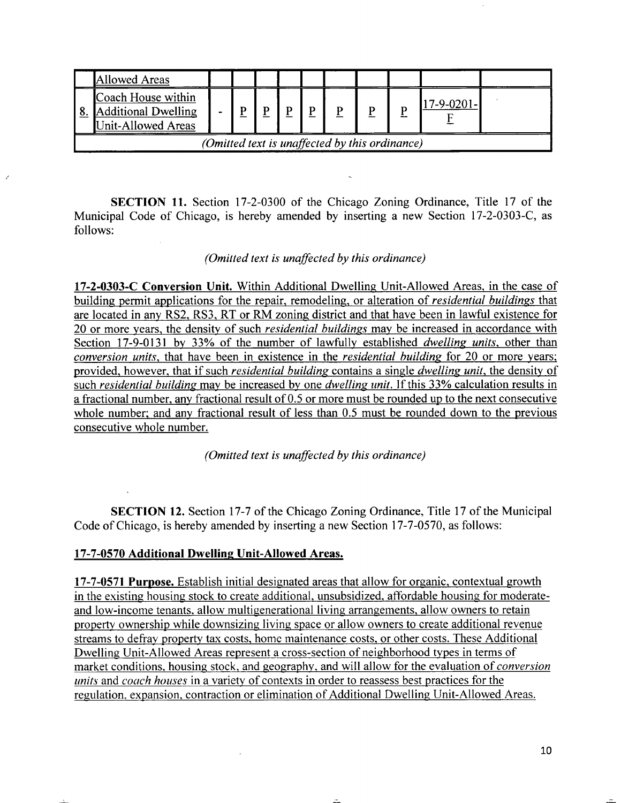|                                                | Allowed Areas                                                             |  |  |   |  |  |  |  |  |            |  |
|------------------------------------------------|---------------------------------------------------------------------------|--|--|---|--|--|--|--|--|------------|--|
|                                                | Coach House within<br>8. Additional Dwelling<br><b>Unit-Allowed Areas</b> |  |  | P |  |  |  |  |  | 17-9-0201- |  |
| (Omitted text is unaffected by this ordinance) |                                                                           |  |  |   |  |  |  |  |  |            |  |

SECTION 11. Section 17-2-0300 of the Chicago Zoning Ordinance, Title 17 of the Municipal Code of Chicago, is hereby amended by inserting a new Section 17-2-0303-C, as follows:

#### *(Omitted text is unaffected by this ordinance)*

17-2-0303-C Conversion Unit. Within Additional Dwelling Unit-Allowed Areas, in the case of building permit applications for the repair, remodeling, or alteration of *residential buildings* that are located in any RS2. RS3, RT or RM zoning district and that have been in lawful existence for 20 or more years, the density of such *residential buildings* may be increased in accordance with Section 17-9-0131 by 33% of the number of lawfully established *dwelling units*, other than conversion units, that have been in existence in the residential building for 20 or more years; provided, however, that if such *residential building* contains a single *dwelling unit*, the density of such residential building may be increased by one dwelling unit. If this 33% calculation results in a fractional number, any fractional result of 0.5 or more must be rounded up to the next consecutive whole number; and any fractional result of less than 0.5 must be rounded down to the previous consecutive whole number.

*(Omitted text is unaffected by this ordinance)* 

**SECTION 12.** Section 17-7 of the Chicago Zoning Ordinance, Title 17 of the Municipal Code of Chicago, is hereby amended by inserting a new Section 17-7-0570, as follows:

### **17-7-0570 Additional Dwelling Unit-Allowed Areas.**

17-7-0571 Purpose. Establish initial designated areas that allow for organic, contextual growth in the existing housing stock to create additional, unsubsidized, affordable housing for moderateand low-income tenants, allow multigenerational living arrangements, allow owners to retain propertv ownership while downsizing living space or allow owners to create additional revenue streams to defray property tax costs, home maintenance costs, or other costs. These Additional Dwelling Unit-Allowed Areas represent a cross-section of neighborhood types in terms of market conditions, housing stock, and geography, and will allow for the evaluation of *conversion* units and coach houses in a variety of contexts in order to reassess best practices for the regulation, expansion, contraction or elimination of Additional Dwelling Unit-Allowed Areas.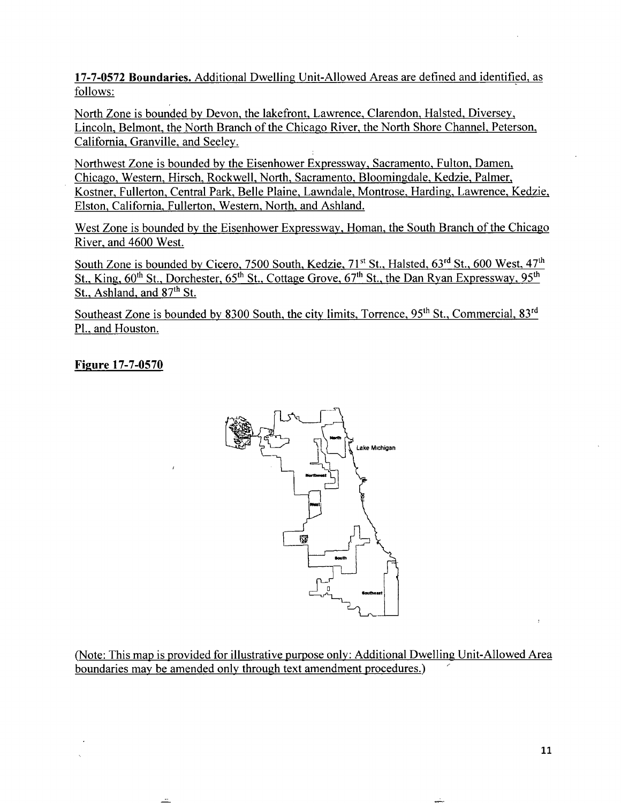17-7-0572 Boundaries. Additional Dwelling Unit-Allowed Areas are defined and identified, as follows:

North Zone is bounded by Devon, the lakefront, Lawrence, Clarendon. Halsted. Diversey, Lincoln, Belmont, the North Branch of the Chicago River, the North Shore Channel. Peterson, Califomia, Granville, and Seeley.

Northwest Zone is bounded by the Eisenhower Expressway, Sacramento, Fulton, Damen, Chicago, Westem, Hirsch. Rockwell, North, Sacramento. Bloomingdale, Kedzie, Palmer, Kostner, Fullerton, Central Park, Belle Plaine, Lawndale, Montrose. Harding, Lawrence, Kedzie. Elston, California. Fullerton, Westem. North, and Ashland.

West Zone is bounded by the Eisenhower Expressway, Homan, the South Branch of the Chicago River, and 4600 West.

South Zone is bounded by Cicero, 7500 South, Kedzie,  $71<sup>st</sup>$  St., Halsted,  $63<sup>rd</sup>$  St., 600 West,  $47<sup>th</sup>$ St., King,  $60^{\text{th}}$  St., Dorchester,  $65^{\text{th}}$  St., Cottage Grove,  $67^{\text{th}}$  St., the Dan Ryan Expressway,  $95^{\text{th}}$ St., Ashland, and 87<sup>th</sup> St.

Southeast Zone is bounded by 8300 South, the city limits, Torrence,  $95<sup>th</sup>$  St., Commercial. 83<sup>rd</sup> PI., and Houston.

# **Figure 17-7-0570**



(Note: This map is provided for illustrative purpose only: Additional Dwelling Unit-Allowed Area boundaries may be amended only through text amendment procedures.)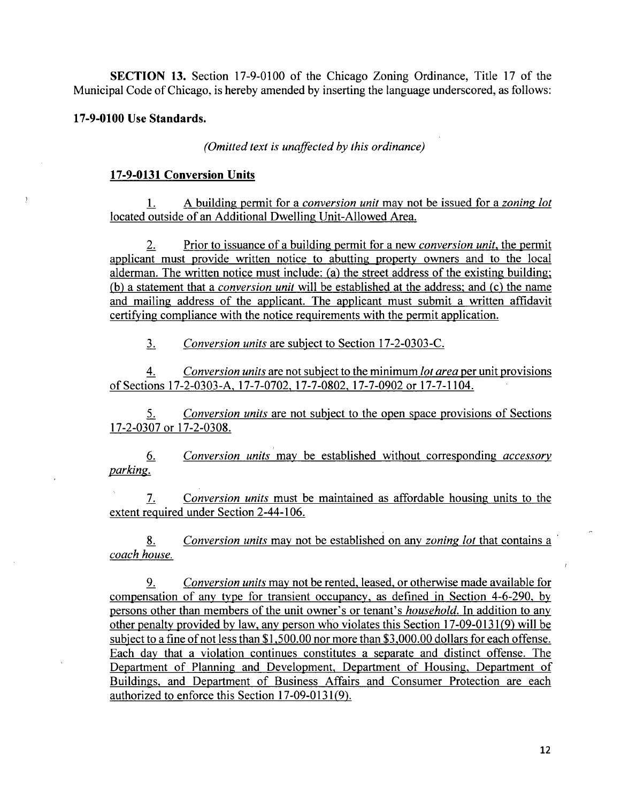SECTION 13. Section 17-9-0100 of the Chicago Zoning Ordinance, Title 17 of the Municipal Code of Chicago, is hereby amended by inserting the language underscored, as follows:

#### **17-9-0100 Use Standards.**

*(Omitted texl is unaffected hy this ordinance)* 

#### **17-9-0131 Conversion Units**

1. A building permit for a *conversion unit* may not be issued for a *zoning lot* located outside of an Additional Dwelling Unit-Allowed Area.

2. Prior to issuance of a building permit for a new *conversion unit*, the permit applicant must provide written notice to abutting property owners and to the local alderman. The written notice must include: (a) the street address of the existing building; (b) a statement that a *conversion unit* will be established at the address; and (c) the name and mailing address of the applicant. The applicant must submit a written affidavit certifying compliance with the notice requirements with the permit application.

3. Conversion units are subject to Section 17-2-0303-C.

4. Conversion units are not subject to the minimum *lot area* per unit provisions of Sections 17-2-0303-A. 17-7-0702. 17-7-0802. 17-7-0902 or 17-7-1104.

5. Conversion units are not subject to the open space provisions of Sections 17-2-0307 or 17-2-0308.

*6. Conversion units may be established without corresponding accessory parking.* 

7. Conversion units must be maintained as affordable housing units to the extent required under Section 2-44-106.

*8. Conversion units may not be established on any zoning lot that contains a coach house.* 

9. Conversion units may not be rented, leased, or otherwise made available for compensation of any type for transient occupancy, as defined in Section 4-6-290. by persons other than members of the unit owner's or tenant's *household*. In addition to any other penalty provided by law, any person who violates this Section 17-09-0131(9) will be subject to a fine of not less than \$1,500.00 nor more than \$3,000.00 dollars for each offense. Each day that a violation continues constitutes a separate and distinct offense. The Department of Planning and Development, Department of Housing, Department of Buildings, and Department of Business Affairs and Consumer Protection are each authorized to enforce this Section 17-09-0131(9).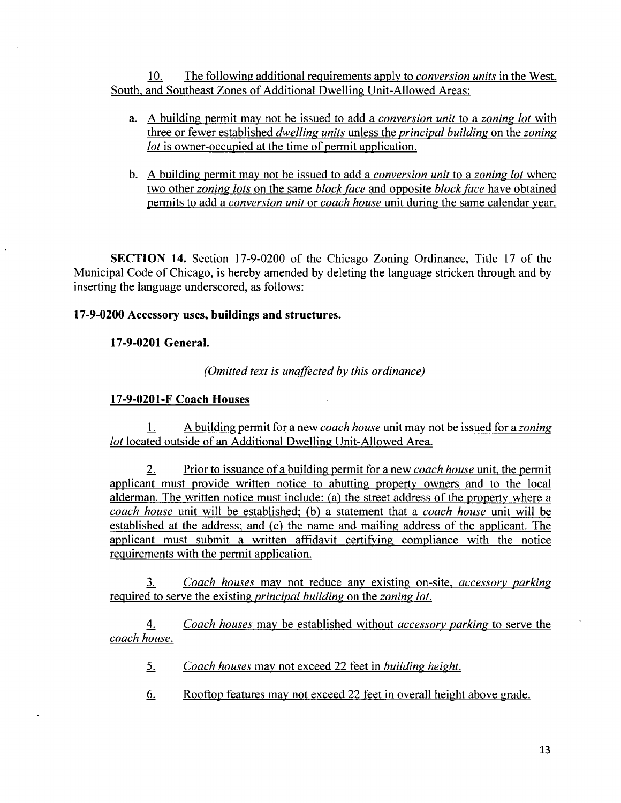10. The following additional requirements apply to conversion units in the West, South, and Southeast Zones of Additional Dwelling Unit-Allowed Areas:

- a. A building permit may not be issued to add a conversion unil to a zoning lot with three or fewer established dwelling units unless the principal building on the zoning lot is owner-occupied at the time of permit application.
- b. A building permit may not be issued to add a *conversion unit* to a *zoning lot* where two other zoning lots on the same block face and opposite block face have obtained permits to add a conversion unit or coach house unit during the same calendar year.

SECTION 14. Section 17-9-0200 of the Chicago Zoning Ordinance, Title 17 of the Municipal Code of Chicago, is hereby amended by deleting the language stricken through and by inserting the language underscored, as follows:

# **17-9-0200 Accessory uses, buildings and structures.**

# **17-9-0201 General.**

**(Omitted text is unaffected by this ordinance)** 

# **17-9-0201-F Coach Houses**

1. A building permit for a new coach house unit may not be issued for a zoning lot located outside of an Additional Dwelling Unit-Allowed Area.

2. Prior to issuance of a building permit for a new *coach house* unit, the permit applicant must provide written notice to abutting property owners and to the local alderman. The written notice must include: (a) the street address of the property where a coach house unit will be established; (b) a statement that a coach house unit will be established at the address; and (c) the name and mailing address of the applicant. The applicant must submit a written affidavit certifying compliance with the notice requirements with the permit application.

*1 Coach houses may not reduce any existing on-site, accessory parking*  required to serve the existing *principal building* on the *zoning lot*.

*4. Coach houses may be established without accessory parkins to serve the coach house.* 

*5. Coach houses may not exceed 22 feet in huildins heishl.* 

6. Rooftop features may not exceed 22 feet in overall height above grade.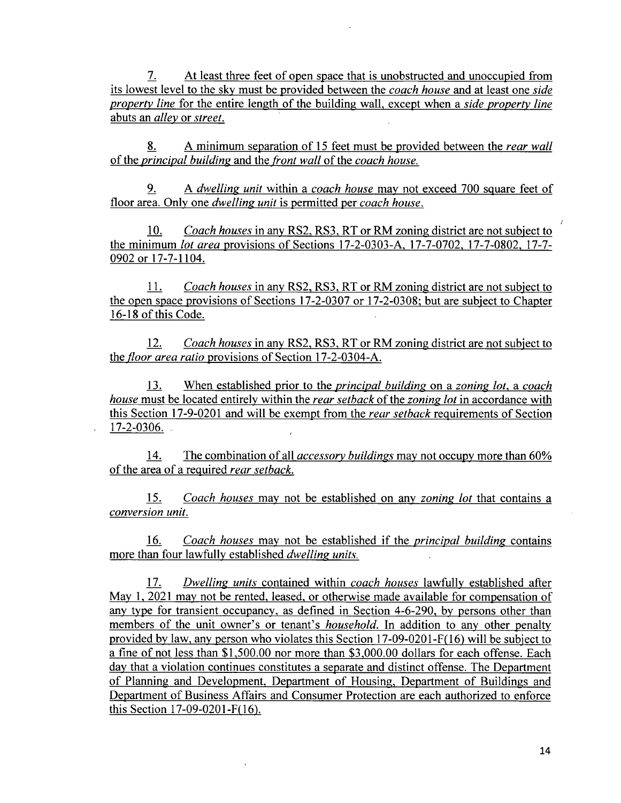*7. At least three feet of open space that is unobstructed and unoccupied from its lowest level to the sky must be provided between the coach house and at least one side property line* for the entire length of the building wall, except when a *side property line abuts an alley or street.* 

*8^ A minimum separation of 15 feet must be provided between the rear wall ofthe principal huildins and the front wall of the coach house.* 

*9. A dwellins unit within a coach house may not exceed 700 square feet of*  floor area. Only one *dwelling unit* is permitted per *coach house*.

10. Coach houses in any RS2. RS3, RT or RM zoning district are not subiect to the minimum lot area provisions of Sections 17-2-0303-A. 17-7-0702. 17-7-0802. 17-7- 0902 or 17-7-1104.

11. Coach houses in any RS2. RS3, RT or RM zoning district are not subiect to the open space provisions of Sections 17-2-0307 or 17-2-0308; but are subject to Chapter 16-18 of this Code.

12. Coach houses in any RS2, RS3, RT or RM zoning district are not subject to the floor area ratio provisions of Section 17-2-0304-A.

13. When established prior to the *principal building* on a zoning lot, a coach house must be located entirely within the rear setback of the zoning lot in accordance with this Section 17-9-0201 and will be exempt from the *rear setback* requirements of Section  $17 - 2 - 0306$ .

*14. The combination of all acces.sory buildings may not occupy more than 60% of the area of a required rear setback.* 

*15. Coach houses may not be established on any zoning lot that contains a conversion unit.* 

*16. Coach houses may not be established if the principal biulding contains*  more than four lawfully established *dwelling units*.

17. Dwelling units contained within *coach houses* lawfully established after May 1. 2021 mav not be rented, leased, or otherwise made available for compensation of any type for transient occupancy, as defined in Section 4-6-290, by persons other than members of the unit owner's or tenant's *household*. In addition to any other penalty provided by law, any person who violates this Section 17-09-0201-F( 16) will be subiect to a fine of not less than \$1,500.00 nor more than \$3,000.00 dollars for each offense. Each day that a violation continues constitutes a separate and distinct offense. The Department of Planning and Development, Department of Housing. Department of Buildings and Department of Business Affairs and Consumer Protection are each authorized to enforce this Section 17-09-0201-F( 16).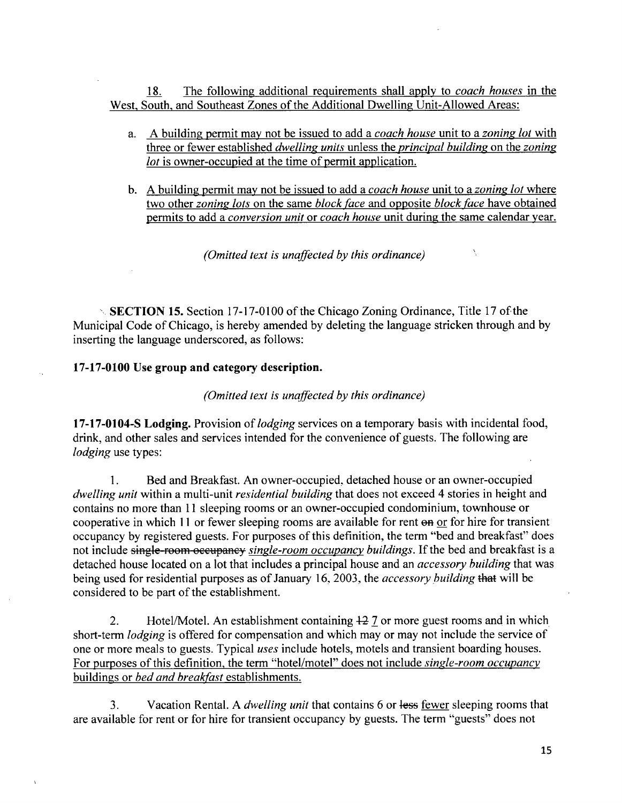18. The following additional requirements shall apply to *coach houses* in the West, South, and Southeast Zones of the Additional Dwelling Unit-Allowed Areas:

- a. A building permit may not be issued to add a *coach house* unit to a *zoning lot* with three or fewer established *dwelling units* unless the *principal building* on the *zoning* lot is owner-occupied at the time of permit application.
- b. A building permit may not be issued to add a *coach house* unit to a *zoning lot* where two other zoning lots on the same block face and opposite block face have obtained permits to add a conversion unit or coach house unit during the same calendar year.

 $\bar{\lambda}_1$ 

*(Omitted text is unaffected by this ordinance)* 

 $\sim$  SECTION 15. Section 17-17-0100 of the Chicago Zoning Ordinance, Title 17 of the Municipal Code of Chicago, is hereby amended by deleting the language stricken through and by inserting the language underscored, as follows:

#### 17-17-0100 Use group and category description.

*(Omitted texl is unaffected by this ordinance)* 

17-17-0104-S Lodging. Provision of *lodging* services on a temporary basis with incidental food, drink, and other sales and services intended for the convenience of guests. The following are lodging use types:

1. Bed and Breakfast. An owner-occupied, detached house or an owner-occupied dwelling unit within a multi-unit residential building that does not exceed 4 stories in height and contains no more than 11 sleeping rooms or an owner-occupied condominium, townhouse or cooperative in which 11 or fewer sleeping rooms are available for rent on or for hire for transient occupancy by registered guests. For purposes of this definition, the term "bed and breakfast" does not include single-room occupancy single-room occupancy buildings. If the bed and breakfast is a detached house located on a lot that includes a principal house and an *accessory building* that was being used for residential purposes as of January 16, 2003, the *accessory building* that will be considered to be part of the establishment.

2. Hotel/Motel. An establishment containing  $\pm 2$  7 or more guest rooms and in which short-term lodging is offered for compensation and which may or may not include the service of one or more meals to guests. Typical uses include hotels, motels and transient boarding houses. For purposes of this definition, the term "hotel/motel" does not include *single-room occupancy* buildings or bed and breakfast establishments.

3. Vacation Rental. A *dwelling unit* that contains 6 or less fewer sleeping rooms that are available for rent or for hire for transient occupancy by guests. The term "guests" does not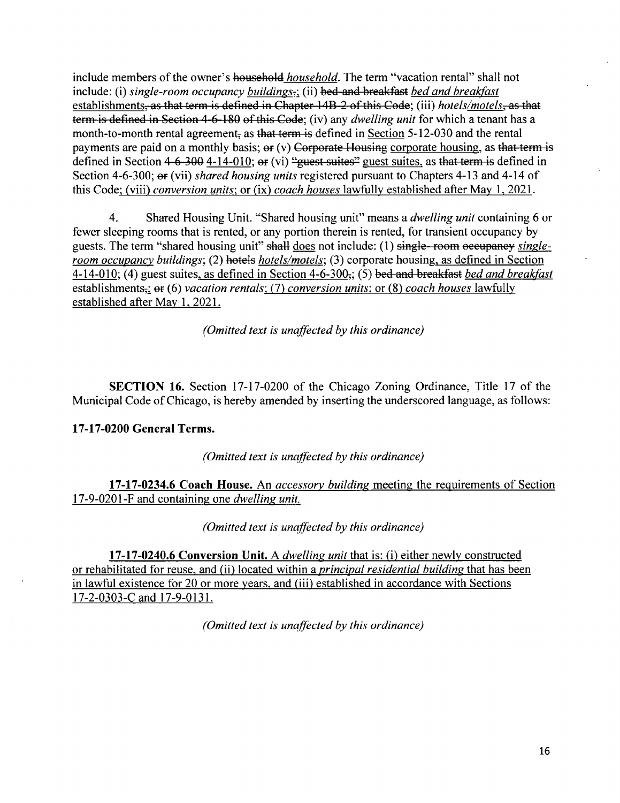include members of the owner's household *household*. The term "vacation rental" shall not include: (i) single-room occupancy buildings<sub>3</sub>; (ii) bed and breakfast bed and breakfast establishments<del>, as that term is defined in Chapter 14B-2 of this Code</del>; (iii) *hotels/motels*, as that term is defined in Section 4-6-180 of this Code; (iv) any *dwelling unit* for which a tenant has a month-to-month rental agreement, as that term is defined in Section  $5-12-030$  and the rental payments are paid on a monthly basis;  $er (v)$  Corporate Housing corporate housing, as that term is defined in Section  $4-6-300$   $4-14-010$ ;  $er (vi)$  "guest suites" guest suites, as that term is defined in Section 4-6-300;  $\Theta$  (vii) shared housing units registered pursuant to Chapters 4-13 and 4-14 of this Code; (viii) conversion units; or (ix) coach houses lawfully established after May 1, 2021.

4. Shared Housing Unit. "Shared housing unit" means a *dwelling unit* containing 6 or fewer sleeping rooms that is rented, or any portion therein is rented, for transient occupancy by guests. The term "shared housing unit" shall does not include: (1) single-room occupancy singleroom occupancy buildings; (2) hotels hotels/motels; (3) corporate housing, as defined in Section 4-14-010; (4) guest suites, as defined in Section 4-6-300 $\frac{1}{2}$ ; (5) bed and breakfast bed and breakfast establishments<sub> $\tau$ </sub>;  $\Theta$  (6) vacation rentals; (7) conversion units; or (8) coach houses lawfully established after May 1, 2021.

*(Omitted text is unaffected hy this ordinance)* 

SECTION 16. Section 17-17-0200 of the Chicago Zoning Ordinance, Title 17 of the Municipal Code of Chicago, is hereby amended by inserting the underscored language, as follows:

# 17-17-0200 General Terms.

*(Omitted text is unaffected by this ordinance)* 

17-17-0234.6 Coach House. An *accessory building* meeting the requirements of Section *17-9-0201 -F and containing one dwellins unit.* 

*(Omitted text is unaffected by this ordinance)* 

17-17-0240.6 Conversion Unit. A *dwelling unit* that is: (i) either newly constructed or rehabilitated for reuse, and (ii) located within a *principal residential building* that has been in lawful existence for 20 or more years, and (iii) established in accordance with Sections 17-2-0303-C and 17-9-0131.

*(Omitted text is unaffected by this ordinance)*